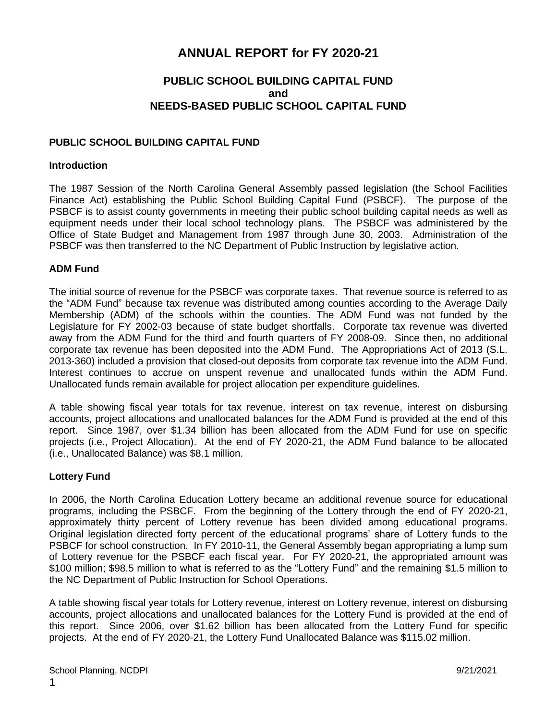# **ANNUAL REPORT for FY 2020-21**

# **PUBLIC SCHOOL BUILDING CAPITAL FUND and NEEDS-BASED PUBLIC SCHOOL CAPITAL FUND**

## **PUBLIC SCHOOL BUILDING CAPITAL FUND**

#### **Introduction**

The 1987 Session of the North Carolina General Assembly passed legislation (the School Facilities Finance Act) establishing the Public School Building Capital Fund (PSBCF). The purpose of the PSBCF is to assist county governments in meeting their public school building capital needs as well as equipment needs under their local school technology plans. The PSBCF was administered by the Office of State Budget and Management from 1987 through June 30, 2003. Administration of the PSBCF was then transferred to the NC Department of Public Instruction by legislative action.

#### **ADM Fund**

The initial source of revenue for the PSBCF was corporate taxes. That revenue source is referred to as the "ADM Fund" because tax revenue was distributed among counties according to the Average Daily Membership (ADM) of the schools within the counties. The ADM Fund was not funded by the Legislature for FY 2002-03 because of state budget shortfalls. Corporate tax revenue was diverted away from the ADM Fund for the third and fourth quarters of FY 2008-09. Since then, no additional corporate tax revenue has been deposited into the ADM Fund. The Appropriations Act of 2013 (S.L. 2013-360) included a provision that closed-out deposits from corporate tax revenue into the ADM Fund. Interest continues to accrue on unspent revenue and unallocated funds within the ADM Fund. Unallocated funds remain available for project allocation per expenditure guidelines.

A table showing fiscal year totals for tax revenue, interest on tax revenue, interest on disbursing accounts, project allocations and unallocated balances for the ADM Fund is provided at the end of this report. Since 1987, over \$1.34 billion has been allocated from the ADM Fund for use on specific projects (i.e., Project Allocation). At the end of FY 2020-21, the ADM Fund balance to be allocated (i.e., Unallocated Balance) was \$8.1 million.

#### **Lottery Fund**

In 2006, the North Carolina Education Lottery became an additional revenue source for educational programs, including the PSBCF. From the beginning of the Lottery through the end of FY 2020-21, approximately thirty percent of Lottery revenue has been divided among educational programs. Original legislation directed forty percent of the educational programs' share of Lottery funds to the PSBCF for school construction. In FY 2010-11, the General Assembly began appropriating a lump sum of Lottery revenue for the PSBCF each fiscal year. For FY 2020-21, the appropriated amount was \$100 million; \$98.5 million to what is referred to as the "Lottery Fund" and the remaining \$1.5 million to the NC Department of Public Instruction for School Operations.

A table showing fiscal year totals for Lottery revenue, interest on Lottery revenue, interest on disbursing accounts, project allocations and unallocated balances for the Lottery Fund is provided at the end of this report. Since 2006, over \$1.62 billion has been allocated from the Lottery Fund for specific projects. At the end of FY 2020-21, the Lottery Fund Unallocated Balance was \$115.02 million.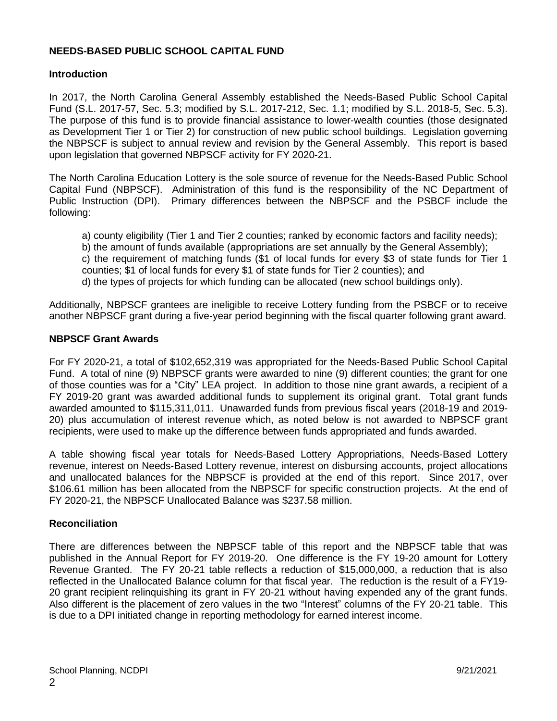## **NEEDS-BASED PUBLIC SCHOOL CAPITAL FUND**

#### **Introduction**

In 2017, the North Carolina General Assembly established the Needs-Based Public School Capital Fund (S.L. 2017-57, Sec. 5.3; modified by S.L. 2017-212, Sec. 1.1; modified by S.L. 2018-5, Sec. 5.3). The purpose of this fund is to provide financial assistance to lower-wealth counties (those designated as Development Tier 1 or Tier 2) for construction of new public school buildings. Legislation governing the NBPSCF is subject to annual review and revision by the General Assembly. This report is based upon legislation that governed NBPSCF activity for FY 2020-21.

The North Carolina Education Lottery is the sole source of revenue for the Needs-Based Public School Capital Fund (NBPSCF). Administration of this fund is the responsibility of the NC Department of Public Instruction (DPI). Primary differences between the NBPSCF and the PSBCF include the following:

a) county eligibility (Tier 1 and Tier 2 counties; ranked by economic factors and facility needs);

b) the amount of funds available (appropriations are set annually by the General Assembly);

c) the requirement of matching funds (\$1 of local funds for every \$3 of state funds for Tier 1 counties; \$1 of local funds for every \$1 of state funds for Tier 2 counties); and

d) the types of projects for which funding can be allocated (new school buildings only).

Additionally, NBPSCF grantees are ineligible to receive Lottery funding from the PSBCF or to receive another NBPSCF grant during a five-year period beginning with the fiscal quarter following grant award.

#### **NBPSCF Grant Awards**

For FY 2020-21, a total of \$102,652,319 was appropriated for the Needs-Based Public School Capital Fund. A total of nine (9) NBPSCF grants were awarded to nine (9) different counties; the grant for one of those counties was for a "City" LEA project. In addition to those nine grant awards, a recipient of a FY 2019-20 grant was awarded additional funds to supplement its original grant. Total grant funds awarded amounted to \$115,311,011. Unawarded funds from previous fiscal years (2018-19 and 2019- 20) plus accumulation of interest revenue which, as noted below is not awarded to NBPSCF grant recipients, were used to make up the difference between funds appropriated and funds awarded.

A table showing fiscal year totals for Needs-Based Lottery Appropriations, Needs-Based Lottery revenue, interest on Needs-Based Lottery revenue, interest on disbursing accounts, project allocations and unallocated balances for the NBPSCF is provided at the end of this report. Since 2017, over \$106.61 million has been allocated from the NBPSCF for specific construction projects. At the end of FY 2020-21, the NBPSCF Unallocated Balance was \$237.58 million.

## **Reconciliation**

There are differences between the NBPSCF table of this report and the NBPSCF table that was published in the Annual Report for FY 2019-20. One difference is the FY 19-20 amount for Lottery Revenue Granted. The FY 20-21 table reflects a reduction of \$15,000,000, a reduction that is also reflected in the Unallocated Balance column for that fiscal year. The reduction is the result of a FY19- 20 grant recipient relinquishing its grant in FY 20-21 without having expended any of the grant funds. Also different is the placement of zero values in the two "Interest" columns of the FY 20-21 table. This is due to a DPI initiated change in reporting methodology for earned interest income.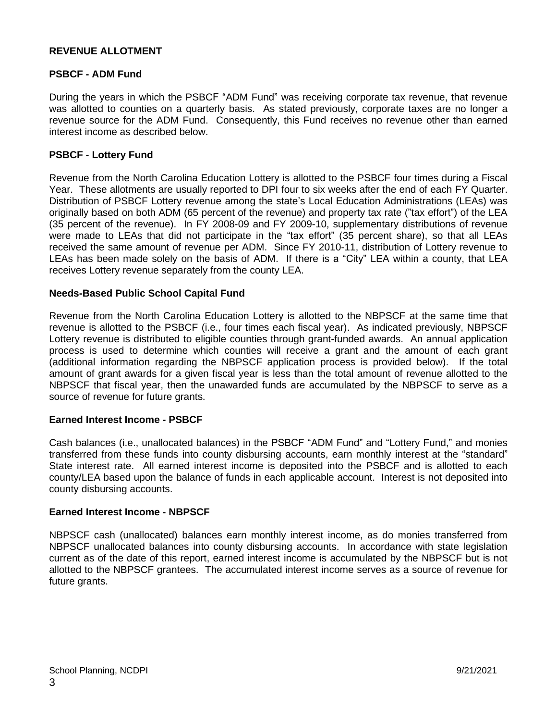## **REVENUE ALLOTMENT**

#### **PSBCF - ADM Fund**

During the years in which the PSBCF "ADM Fund" was receiving corporate tax revenue, that revenue was allotted to counties on a quarterly basis. As stated previously, corporate taxes are no longer a revenue source for the ADM Fund. Consequently, this Fund receives no revenue other than earned interest income as described below.

#### **PSBCF - Lottery Fund**

Revenue from the North Carolina Education Lottery is allotted to the PSBCF four times during a Fiscal Year. These allotments are usually reported to DPI four to six weeks after the end of each FY Quarter. Distribution of PSBCF Lottery revenue among the state's Local Education Administrations (LEAs) was originally based on both ADM (65 percent of the revenue) and property tax rate ("tax effort") of the LEA (35 percent of the revenue). In FY 2008-09 and FY 2009-10, supplementary distributions of revenue were made to LEAs that did not participate in the "tax effort" (35 percent share), so that all LEAs received the same amount of revenue per ADM. Since FY 2010-11, distribution of Lottery revenue to LEAs has been made solely on the basis of ADM. If there is a "City" LEA within a county, that LEA receives Lottery revenue separately from the county LEA.

#### **Needs-Based Public School Capital Fund**

Revenue from the North Carolina Education Lottery is allotted to the NBPSCF at the same time that revenue is allotted to the PSBCF (i.e., four times each fiscal year). As indicated previously, NBPSCF Lottery revenue is distributed to eligible counties through grant-funded awards. An annual application process is used to determine which counties will receive a grant and the amount of each grant (additional information regarding the NBPSCF application process is provided below). If the total amount of grant awards for a given fiscal year is less than the total amount of revenue allotted to the NBPSCF that fiscal year, then the unawarded funds are accumulated by the NBPSCF to serve as a source of revenue for future grants.

#### **Earned Interest Income - PSBCF**

Cash balances (i.e., unallocated balances) in the PSBCF "ADM Fund" and "Lottery Fund," and monies transferred from these funds into county disbursing accounts, earn monthly interest at the "standard" State interest rate. All earned interest income is deposited into the PSBCF and is allotted to each county/LEA based upon the balance of funds in each applicable account. Interest is not deposited into county disbursing accounts.

#### **Earned Interest Income - NBPSCF**

NBPSCF cash (unallocated) balances earn monthly interest income, as do monies transferred from NBPSCF unallocated balances into county disbursing accounts. In accordance with state legislation current as of the date of this report, earned interest income is accumulated by the NBPSCF but is not allotted to the NBPSCF grantees. The accumulated interest income serves as a source of revenue for future grants.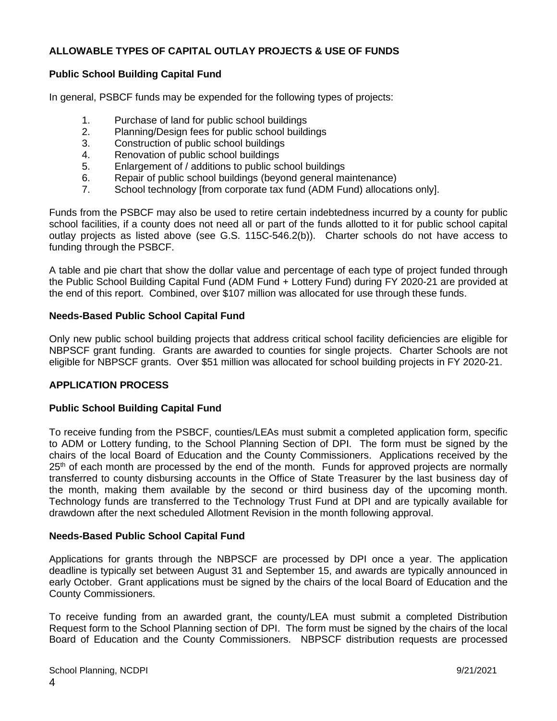## **ALLOWABLE TYPES OF CAPITAL OUTLAY PROJECTS & USE OF FUNDS**

## **Public School Building Capital Fund**

In general, PSBCF funds may be expended for the following types of projects:

- 1. Purchase of land for public school buildings<br>2. Planning/Design fees for public school build
- Planning/Design fees for public school buildings
- 3. Construction of public school buildings
- 4. Renovation of public school buildings
- 5. Enlargement of / additions to public school buildings
- 6. Repair of public school buildings (beyond general maintenance)
- 7. School technology [from corporate tax fund (ADM Fund) allocations only].

Funds from the PSBCF may also be used to retire certain indebtedness incurred by a county for public school facilities, if a county does not need all or part of the funds allotted to it for public school capital outlay projects as listed above (see G.S. 115C-546.2(b)). Charter schools do not have access to funding through the PSBCF.

A table and pie chart that show the dollar value and percentage of each type of project funded through the Public School Building Capital Fund (ADM Fund + Lottery Fund) during FY 2020-21 are provided at the end of this report. Combined, over \$107 million was allocated for use through these funds.

## **Needs-Based Public School Capital Fund**

Only new public school building projects that address critical school facility deficiencies are eligible for NBPSCF grant funding. Grants are awarded to counties for single projects. Charter Schools are not eligible for NBPSCF grants. Over \$51 million was allocated for school building projects in FY 2020-21.

## **APPLICATION PROCESS**

## **Public School Building Capital Fund**

To receive funding from the PSBCF, counties/LEAs must submit a completed application form, specific to ADM or Lottery funding, to the School Planning Section of DPI. The form must be signed by the chairs of the local Board of Education and the County Commissioners. Applications received by the 25<sup>th</sup> of each month are processed by the end of the month. Funds for approved projects are normally transferred to county disbursing accounts in the Office of State Treasurer by the last business day of the month, making them available by the second or third business day of the upcoming month. Technology funds are transferred to the Technology Trust Fund at DPI and are typically available for drawdown after the next scheduled Allotment Revision in the month following approval.

## **Needs-Based Public School Capital Fund**

Applications for grants through the NBPSCF are processed by DPI once a year. The application deadline is typically set between August 31 and September 15, and awards are typically announced in early October. Grant applications must be signed by the chairs of the local Board of Education and the County Commissioners.

To receive funding from an awarded grant, the county/LEA must submit a completed Distribution Request form to the School Planning section of DPI. The form must be signed by the chairs of the local Board of Education and the County Commissioners. NBPSCF distribution requests are processed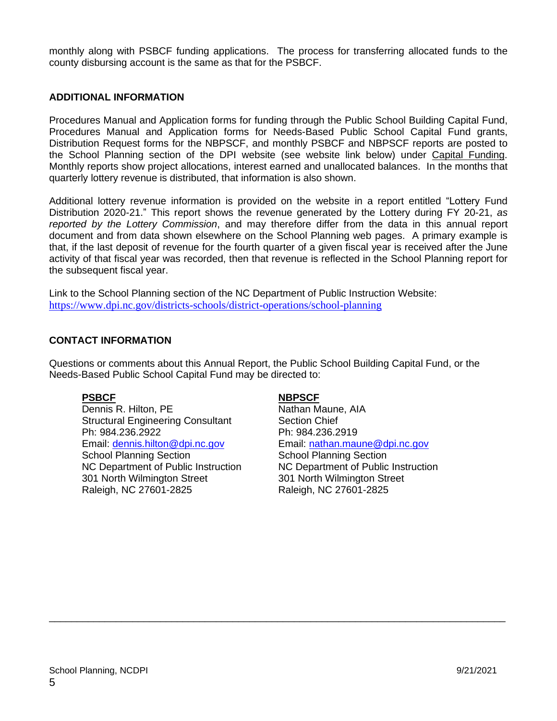monthly along with PSBCF funding applications. The process for transferring allocated funds to the county disbursing account is the same as that for the PSBCF.

## **ADDITIONAL INFORMATION**

Procedures Manual and Application forms for funding through the Public School Building Capital Fund, Procedures Manual and Application forms for Needs-Based Public School Capital Fund grants, Distribution Request forms for the NBPSCF, and monthly PSBCF and NBPSCF reports are posted to the School Planning section of the DPI website (see website link below) under Capital Funding. Monthly reports show project allocations, interest earned and unallocated balances. In the months that quarterly lottery revenue is distributed, that information is also shown.

Additional lottery revenue information is provided on the website in a report entitled "Lottery Fund Distribution 2020-21." This report shows the revenue generated by the Lottery during FY 20-21, *as reported by the Lottery Commission*, and may therefore differ from the data in this annual report document and from data shown elsewhere on the School Planning web pages. A primary example is that, if the last deposit of revenue for the fourth quarter of a given fiscal year is received after the June activity of that fiscal year was recorded, then that revenue is reflected in the School Planning report for the subsequent fiscal year.

Link to the School Planning section of the NC Department of Public Instruction Website: <https://www.dpi.nc.gov/districts-schools/district-operations/school-planning>

#### **CONTACT INFORMATION**

Questions or comments about this Annual Report, the Public School Building Capital Fund, or the Needs-Based Public School Capital Fund may be directed to:

\_\_\_\_\_\_\_\_\_\_\_\_\_\_\_\_\_\_\_\_\_\_\_\_\_\_\_\_\_\_\_\_\_\_\_\_\_\_\_\_\_\_\_\_\_\_\_\_\_\_\_\_\_\_\_\_\_\_\_\_\_\_\_\_\_\_\_\_\_\_\_\_\_\_\_\_\_\_\_\_\_\_

Dennis R. Hilton, PE Nathan Maune, AIA Structural Engineering Consultant Section Chief Ph: 984.236.2922 Ph: 984.236.2919 Email: [dennis.hilton@dpi.nc.gov](mailto:dennis.hilton@dpi.nc.gov) Email: [nathan.maune@dpi.nc.gov](mailto:nathan.maune@dpi.nc.gov) School Planning Section School Planning Section 301 North Wilmington Street 301 North Wilmington Street Raleigh, NC 27601-2825 Raleigh, NC 27601-2825

#### **PSBCF NBPSCF**

NC Department of Public Instruction NC Department of Public Instruction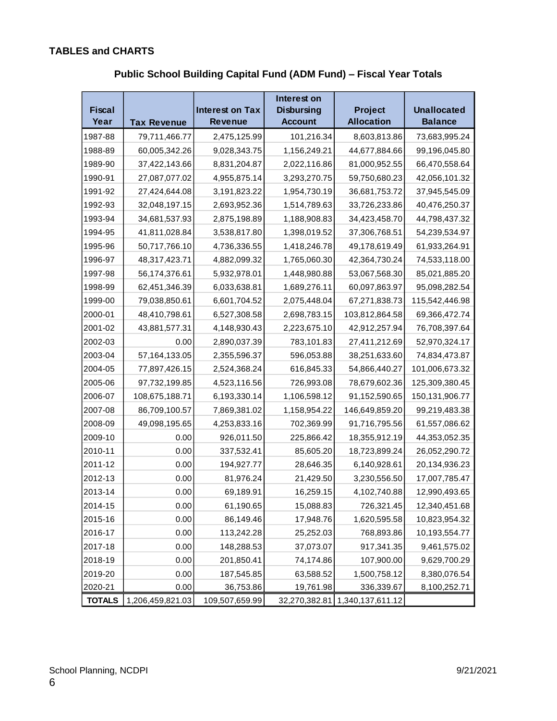# **TABLES and CHARTS**

|               |                    | Interest on                                 |                |                   |                    |  |
|---------------|--------------------|---------------------------------------------|----------------|-------------------|--------------------|--|
| <b>Fiscal</b> |                    | <b>Interest on Tax</b><br><b>Disbursing</b> |                | <b>Project</b>    | <b>Unallocated</b> |  |
| Year          | <b>Tax Revenue</b> | <b>Revenue</b>                              | <b>Account</b> | <b>Allocation</b> | <b>Balance</b>     |  |
| 1987-88       | 79,711,466.77      | 2,475,125.99                                | 101,216.34     | 8,603,813.86      | 73,683,995.24      |  |
| 1988-89       | 60,005,342.26      | 9,028,343.75                                | 1,156,249.21   | 44,677,884.66     | 99,196,045.80      |  |
| 1989-90       | 37,422,143.66      | 8,831,204.87                                | 2,022,116.86   | 81,000,952.55     | 66,470,558.64      |  |
| 1990-91       | 27,087,077.02      | 4,955,875.14                                | 3,293,270.75   | 59,750,680.23     | 42,056,101.32      |  |
| 1991-92       | 27,424,644.08      | 3,191,823.22                                | 1,954,730.19   | 36,681,753.72     | 37,945,545.09      |  |
| 1992-93       | 32,048,197.15      | 2,693,952.36                                | 1,514,789.63   | 33,726,233.86     | 40,476,250.37      |  |
| 1993-94       | 34,681,537.93      | 2,875,198.89                                | 1,188,908.83   | 34,423,458.70     | 44,798,437.32      |  |
| 1994-95       | 41,811,028.84      | 3,538,817.80                                | 1,398,019.52   | 37,306,768.51     | 54,239,534.97      |  |
| 1995-96       | 50,717,766.10      | 4,736,336.55                                | 1,418,246.78   | 49,178,619.49     | 61,933,264.91      |  |
| 1996-97       | 48,317,423.71      | 4,882,099.32                                | 1,765,060.30   | 42,364,730.24     | 74,533,118.00      |  |
| 1997-98       | 56,174,376.61      | 5,932,978.01                                | 1,448,980.88   | 53,067,568.30     | 85,021,885.20      |  |
| 1998-99       | 62,451,346.39      | 6,033,638.81                                | 1,689,276.11   | 60,097,863.97     | 95,098,282.54      |  |
| 1999-00       | 79,038,850.61      | 6,601,704.52                                | 2,075,448.04   | 67,271,838.73     | 115,542,446.98     |  |
| 2000-01       | 48,410,798.61      | 6,527,308.58                                | 2,698,783.15   | 103,812,864.58    | 69,366,472.74      |  |
| 2001-02       | 43,881,577.31      | 4,148,930.43                                | 2,223,675.10   | 42,912,257.94     | 76,708,397.64      |  |
| 2002-03       | 0.00               | 2,890,037.39                                | 783,101.83     | 27,411,212.69     | 52,970,324.17      |  |
| 2003-04       | 57,164,133.05      | 2,355,596.37                                | 596,053.88     | 38,251,633.60     | 74,834,473.87      |  |
| 2004-05       | 77,897,426.15      | 2,524,368.24                                | 616,845.33     | 54,866,440.27     | 101,006,673.32     |  |
| 2005-06       | 97,732,199.85      | 4,523,116.56                                | 726,993.08     | 78,679,602.36     | 125,309,380.45     |  |
| 2006-07       | 108,675,188.71     | 6,193,330.14                                | 1,106,598.12   | 91,152,590.65     | 150,131,906.77     |  |
| 2007-08       | 86,709,100.57      | 7,869,381.02                                | 1,158,954.22   | 146,649,859.20    | 99,219,483.38      |  |
| 2008-09       | 49,098,195.65      | 4,253,833.16                                | 702,369.99     | 91,716,795.56     | 61,557,086.62      |  |
| 2009-10       | 0.00               | 926,011.50                                  | 225,866.42     | 18,355,912.19     | 44,353,052.35      |  |
| 2010-11       | 0.00               | 337,532.41                                  | 85,605.20      | 18,723,899.24     | 26,052,290.72      |  |
| 2011-12       | 0.00               | 194,927.77                                  | 28,646.35      | 6,140,928.61      | 20,134,936.23      |  |
| 2012-13       | 0.00               | 81,976.24                                   | 21,429.50      | 3,230,556.50      | 17,007,785.47      |  |
| 2013-14       | 0.00               | 69,189.91                                   | 16,259.15      | 4,102,740.88      | 12,990,493.65      |  |
| 2014-15       | 0.00               | 61,190.65                                   | 15,088.83      | 726,321.45        | 12,340,451.68      |  |
| 2015-16       | 0.00               | 86,149.46                                   | 17,948.76      | 1,620,595.58      | 10,823,954.32      |  |
| 2016-17       | 0.00               | 113,242.28                                  | 25,252.03      | 768,893.86        | 10,193,554.77      |  |
| 2017-18       | 0.00               | 148,288.53                                  | 37,073.07      | 917,341.35        | 9,461,575.02       |  |
| 2018-19       | 0.00               | 201,850.41                                  | 74,174.86      | 107,900.00        | 9,629,700.29       |  |
| 2019-20       | 0.00               | 187,545.85                                  | 63,588.52      | 1,500,758.12      | 8,380,076.54       |  |
| 2020-21       | 0.00               | 36,753.86                                   | 19,761.98      | 336,339.67        | 8,100,252.71       |  |
| <b>TOTALS</b> | 1,206,459,821.03   | 109,507,659.99                              | 32,270,382.81  | 1,340,137,611.12  |                    |  |

**Public School Building Capital Fund (ADM Fund) – Fiscal Year Totals**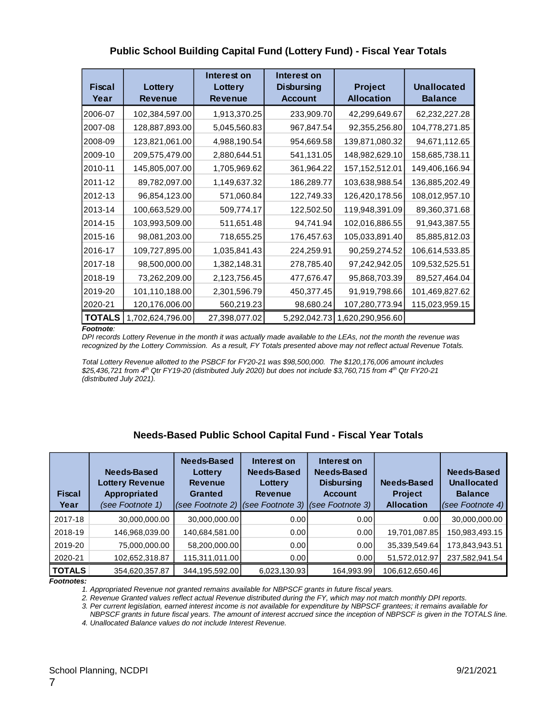## **Public School Building Capital Fund (Lottery Fund) - Fiscal Year Totals**

| <b>Fiscal</b><br>Year | Lottery<br><b>Revenue</b> | Interest on<br>Lottery<br><b>Revenue</b> | Interest on<br><b>Disbursing</b><br><b>Account</b> | <b>Project</b><br><b>Allocation</b> | <b>Unallocated</b><br><b>Balance</b> |  |
|-----------------------|---------------------------|------------------------------------------|----------------------------------------------------|-------------------------------------|--------------------------------------|--|
| 2006-07               | 102,384,597.00            | 1,913,370.25                             | 233,909.70                                         | 42,299,649.67                       | 62,232,227.28                        |  |
| 2007-08               | 128,887,893.00            | 5,045,560.83                             | 967,847.54                                         | 92,355,256.80                       | 104,778,271.85                       |  |
| 2008-09               | 123,821,061.00            | 4,988,190.54                             | 954,669.58                                         | 139,871,080.32                      | 94,671,112.65                        |  |
| 2009-10               | 209,575,479.00            | 2,880,644.51                             | 541,131.05                                         | 148,982,629.10                      | 158,685,738.11                       |  |
| 2010-11               | 145,805,007.00            | 1,705,969.62                             | 361,964.22                                         | 157, 152, 512.01                    | 149,406,166.94                       |  |
| 2011-12               | 89,782,097.00             | 1,149,637.32                             | 186,289.77                                         | 103,638,988.54                      | 136,885,202.49                       |  |
| 2012-13               | 96,854,123.00             | 571,060.84                               | 122,749.33                                         | 126,420,178.56                      | 108,012,957.10                       |  |
| 2013-14               | 100,663,529.00            | 509,774.17                               | 122,502.50                                         | 119,948,391.09                      | 89,360,371.68                        |  |
| 2014-15               | 103,993,509.00            | 511,651.48                               | 94,741.94                                          | 102,016,886.55                      | 91,943,387.55                        |  |
| 2015-16               | 98,081,203.00             | 718,655.25                               | 176,457.63                                         | 105,033,891.40                      | 85,885,812.03                        |  |
| 2016-17               | 109,727,895.00            | 1,035,841.43                             | 224,259.91                                         | 90,259,274.52                       | 106,614,533.85                       |  |
| 2017-18               | 98,500,000.00             | 1,382,148.31                             | 278,785.40                                         | 97,242,942.05                       | 109,532,525.51                       |  |
| 2018-19               | 73,262,209.00             | 2,123,756.45                             | 477,676.47                                         | 95,868,703.39                       | 89,527,464.04                        |  |
| 2019-20               | 101,110,188.00            | 2,301,596.79                             | 450,377.45                                         | 91,919,798.66                       | 101,469,827.62                       |  |
| 2020-21               | 120,176,006.00            | 560,219.23                               | 98,680.24                                          | 107,280,773.94                      | 115,023,959.15                       |  |
| <b>TOTALS</b>         | 1,702,624,796.00          | 27,398,077.02                            | 5,292,042.73                                       | 1,620,290,956.60                    |                                      |  |

#### *Footnote:*

*DPI records Lottery Revenue in the month it was actually made available to the LEAs, not the month the revenue was recognized by the Lottery Commission. As a result, FY Totals presented above may not reflect actual Revenue Totals.*

*Total Lottery Revenue allotted to the PSBCF for FY20-21 was \$98,500,000. The \$120,176,006 amount includes \$25,436,721 from 4 th Qtr FY19-20 (distributed July 2020) but does not include \$3,760,715 from 4th Qtr FY20-21 (distributed July 2021).*

## **Needs-Based Public School Capital Fund - Fiscal Year Totals**

| <b>Fiscal</b><br>Year | Needs-Based<br><b>Lottery Revenue</b><br>Appropriated<br>(see Footnote 1) | Needs-Based<br>Lottery<br><b>Revenue</b><br>Granted<br>$(see Footnote 2)$ (see Footnote 3) | Interest on<br>Needs-Based<br>Lottery<br><b>Revenue</b> | Interest on<br>Needs-Based<br><b>Disbursing</b><br><b>Account</b><br>(see Footnote 3) | Needs-Based<br><b>Project</b><br><b>Allocation</b> | Needs-Based<br>Unallocated<br><b>Balance</b><br>(see Footnote 4) |
|-----------------------|---------------------------------------------------------------------------|--------------------------------------------------------------------------------------------|---------------------------------------------------------|---------------------------------------------------------------------------------------|----------------------------------------------------|------------------------------------------------------------------|
| 2017-18               | 30,000,000.00                                                             | 30,000,000.00                                                                              | 0.00                                                    | 0.001                                                                                 | 0.00                                               | 30,000,000.00                                                    |
| 2018-19               | 146,968,039.00                                                            | 140,684,581.00                                                                             | 0.00                                                    | 0.00                                                                                  | 19,701,087.85                                      | 150,983,493.15                                                   |
| 2019-20               | 75,000,000.00                                                             | 58,200,000.00                                                                              | 0.00                                                    | 0.00                                                                                  | 35,339,549.64                                      | 173,843,943.51                                                   |
| 2020-21               | 102,652,318.87                                                            | 115,311,011.00                                                                             | 0.00                                                    | 0.00                                                                                  | 51,572,012.97                                      | 237,582,941.54                                                   |
| <b>TOTALS</b>         | 354,620,357.87                                                            | 344,195,592.00                                                                             | 6,023,130.93                                            | 164,993.99                                                                            | 106,612,650.46                                     |                                                                  |

#### *Footnotes:*

*1. Appropriated Revenue not granted remains available for NBPSCF grants in future fiscal years.*

*2. Revenue Granted values reflect actual Revenue distributed during the FY, which may not match monthly DPI reports.*

*3. Per current legislation, earned interest income is not available for expenditure by NBPSCF grantees; it remains available for* 

 *NBPSCF grants in future fiscal years. The amount of interest accrued since the inception of NBPSCF is given in the TOTALS line. 4. Unallocated Balance values do not include Interest Revenue.*